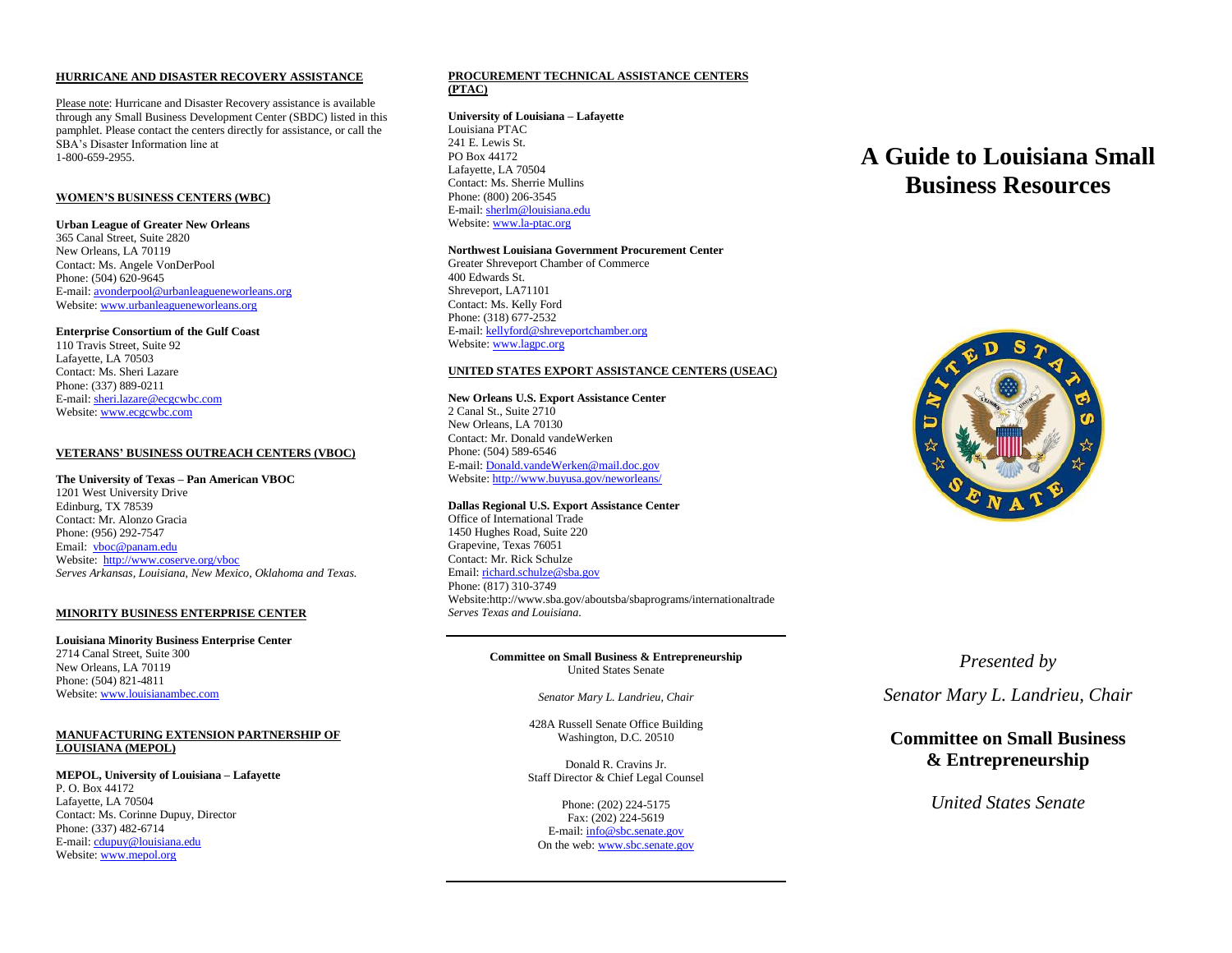#### **HURRICANE AND DISASTER RECOVERY ASSISTANCE**

Please note: Hurricane and Disaster Recovery assistance is available through any Small Business Development Center (SBDC) listed in this pamphlet. Please contact the centers directly for assistance, or call the SBA's Disaster Information line at 1-800-659-2955.

# **WOMEN'S BUSINESS CENTERS (WBC)**

#### **Urban League of Greater New Orleans**

365 Canal Street, Suite 2820 New Orleans, LA 70119 Contact: Ms. Angele VonDerPool Phone: (504) 620-9645 E-mail[: avonderpool@urbanleagueneworleans.org](mailto:avonderpool@urbanleagueneworleans.org) Website[: www.urbanleagueneworleans.org](http://www.urbanleagueneworleans.org/)

# **Enterprise Consortium of the Gulf Coast**

110 Travis Street, Suite 92 Lafayette, LA 70503 Contact: Ms. Sheri Lazare Phone: (337) 889-0211 E-mail[: sheri.lazare@ecgcwbc.com](mailto:sheri.lazare@ecgcwbc.com) Website[: www.ecgcwbc.com](http://www.ecgcwbc.com/)

# **VETERANS' BUSINESS OUTREACH CENTERS (VBOC)**

#### **The University of Texas – Pan American VBOC**

1201 West University Drive Edinburg, TX 78539 Contact: Mr. Alonzo Gracia Phone: (956) 292-7547 Email: [vboc@panam.edu](mailto:vboc@panam.edu) Website: [http://www.coserve.org/vboc](http://www.sba.gov/cgi-bin/byebye.pl?TO=http://www.coserve.org/vboc) *Serves Arkansas, Louisiana, New Mexico, Oklahoma and Texas.*

# **MINORITY BUSINESS ENTERPRISE CENTER**

**Louisiana Minority Business Enterprise Center** 2714 Canal Street, Suite 300 New Orleans, LA 70119 Phone: (504) 821-4811 Website[: www.louisianambec.com](http://www.louisianambec.com/)

# **MANUFACTURING EXTENSION PARTNERSHIP OF LOUISIANA (MEPOL)**

**MEPOL, University of Louisiana – Lafayette**  P. O. Box 44172 Lafayette, LA 70504 Contact: Ms. Corinne Dupuy, Director Phone: (337) 482-6714 E-mail[: cdupuy@louisiana.edu](mailto:cdupuy@louisiana.edu) Website[: www.mepol.org](http://www.mepol.org/)

# **PROCUREMENT TECHNICAL ASSISTANCE CENTERS (PTAC)**

# **University of Louisiana – Lafayette**

Louisiana PTAC 241 E. Lewis St. PO Box 44172 Lafayette, LA 70504 Contact: Ms. Sherrie Mullins Phone: (800) 206-3545 E-mail[: sherlm@louisiana.edu](mailto:sherlm@louisiana.edu) Website[: www.la-ptac.org](http://www.la-ptac.org/)

#### **Northwest Louisiana Government Procurement Center**

Greater Shreveport Chamber of Commerce 400 Edwards St. Shreveport, LA71101 Contact: Ms. Kelly Ford Phone: (318) 677-2532 E-mail[: kellyford@shreveportchamber.org](mailto:kellyford@shreveportchamber.org) Website[: www.lagpc.org](http://www.lagpc.org/)

# **UNITED STATES EXPORT ASSISTANCE CENTERS (USEAC)**

# **New Orleans U.S. Export Assistance Center**

2 Canal St., Suite 2710 New Orleans, LA 70130 Contact: Mr. Donald vandeWerken Phone: (504) 589-6546 E-mail[: Donald.vandeWerken@mail.doc.gov](mailto:Donald.vandeWerken@mail.doc.gov) Website[: http://www.buyusa.gov/neworleans/](http://www.buyusa.gov/neworleans/)

# **Dallas Regional U.S. Export Assistance Center**

Office of International Trade 1450 Hughes Road, Suite 220 Grapevine, Texas 76051 Contact: Mr. Rick Schulze Email[: richard.schulze@sba.gov](mailto:richard.schulze@sba.gov) Phone: (817) 310-3749 Website:http://www.sba.gov/aboutsba/sbaprograms/internationaltrade *Serves Texas and Louisiana.*

# **Committee on Small Business & Entrepreneurship** United States Senate

*Senator Mary L. Landrieu, Chair*

428A Russell Senate Office Building Washington, D.C. 20510

Donald R. Cravins Jr. Staff Director & Chief Legal Counsel

Phone: (202) 224-5175 Fax: (202) 224-5619 E-mail: [info@sbc.senate.gov](mailto:info@sbc.senate.gov) On the web[: www.sbc.senate.gov](http://www.sbc.senate.gov/)

# **A Guide to Louisiana Small Business Resources**



# *Presented by*

*Senator Mary L. Landrieu, Chair*

# **Committee on Small Business & Entrepreneurship**

# *United States Senate*